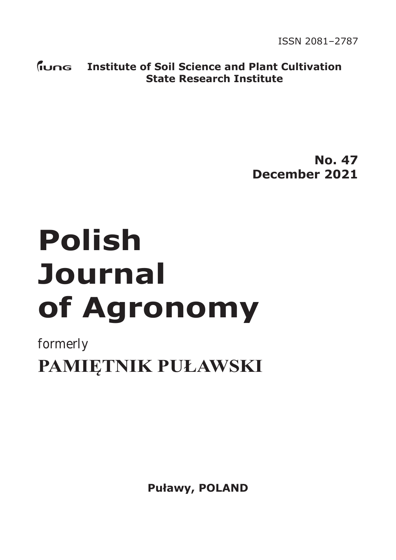**ISSN 2081-2787** ISSN 2081–2787

**Institute of Soil Science and Plant Cultivation State Research Institute**

> **No. 47 December 2021**

# **Polish Journal of Agronomy**

formerly

**PAMIĘTNIK PUŁAWSKI**

**Puławy, POLAND**